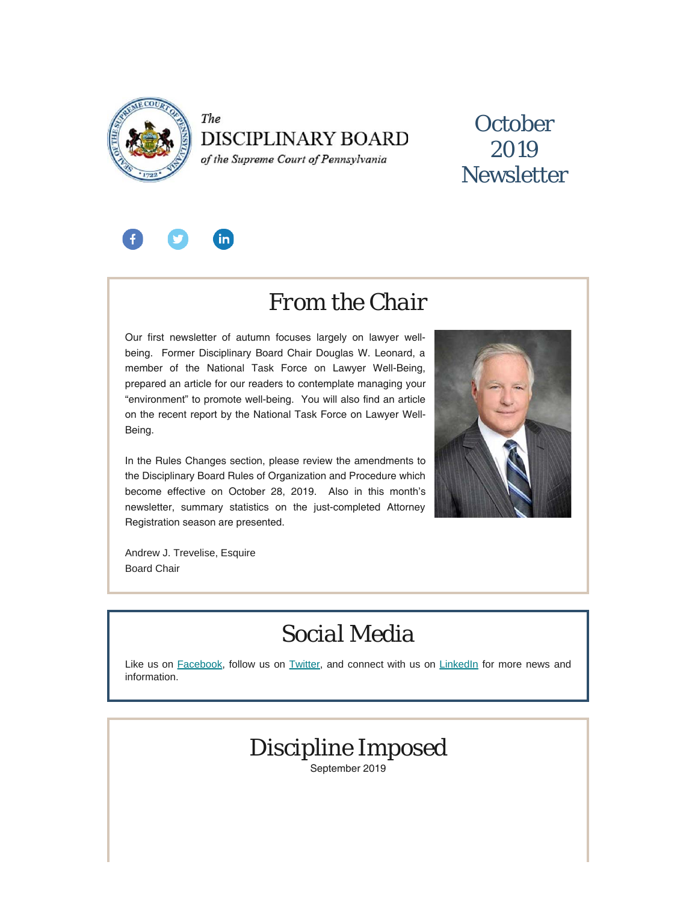

The **DISCIPLINARY BOARD** of the Supreme Court of Pennsylvania

### **October** 2019 **Newsletter**



### *From the Chair*

Our first newsletter of autumn focuses largely on lawyer wellbeing. Former Disciplinary Board Chair Douglas W. Leonard, a member of the National Task Force on Lawyer Well-Being, prepared an article for our readers to contemplate managing your "environment" to promote well-being. You will also find an article on the recent report by the National Task Force on Lawyer Well-Being.

In the Rules Changes section, please review the amendments to the Disciplinary Board Rules of Organization and Procedure which become effective on October 28, 2019. Also in this month's newsletter, summary statistics on the just-completed Attorney Registration season are presented.



Andrew J. Trevelise, Esquire Board Chair

# *Social Media*

Like us on [Facebook](https://www.facebook.com/DBoardPA), follow us on [Twitter,](https://twitter.com/DBoardPa) and connect with us on [LinkedIn](https://www.linkedin.com/company/pennsylvania-disciplinary-board/) for more news and information.



September 2019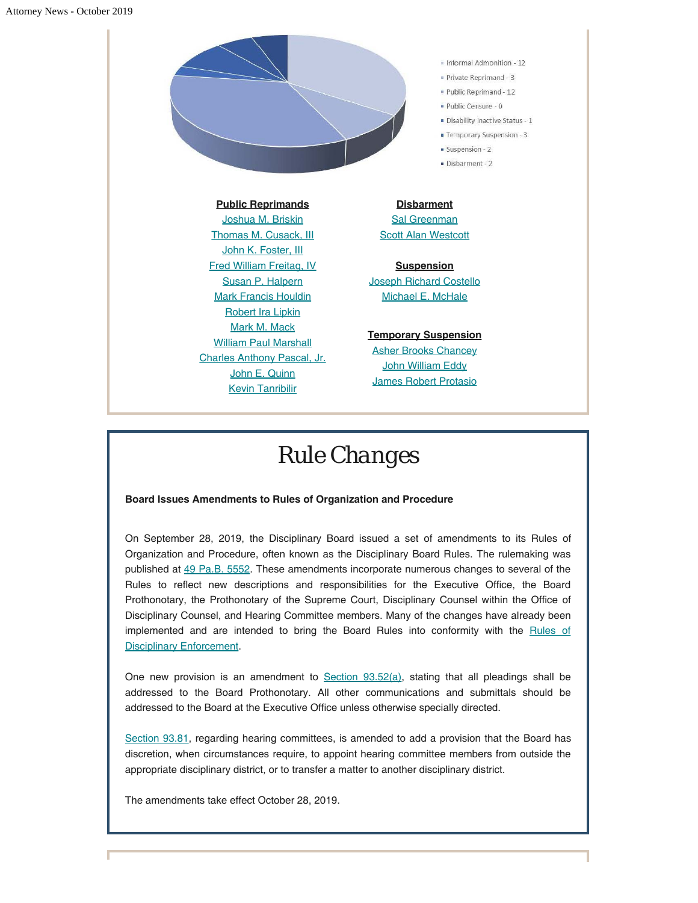

**Public Reprimands** [Joshua M. Briskin](https://www.padisciplinaryboard.org/for-the-public/find-attorney/attorney-detail/2560) [Thomas M. Cusack, III](https://www.padisciplinaryboard.org/for-the-public/find-attorney/attorney-detail/83343) [John K. Foster, III](https://www.padisciplinaryboard.org/for-the-public/find-attorney/attorney-detail/67619) [Fred William Freitag, IV](https://www.padisciplinaryboard.org/for-the-public/find-attorney/attorney-detail/61770) [Susan P. Halpern](https://www.padisciplinaryboard.org/for-the-public/find-attorney/attorney-detail/40570) [Mark Francis Houldin](https://www.padisciplinaryboard.org/for-the-public/find-attorney/attorney-detail/95122) [Robert Ira Lipkin](https://www.padisciplinaryboard.org/for-the-public/find-attorney/attorney-detail/30276) [Mark M. Mack](https://www.padisciplinaryboard.org/for-the-public/find-attorney/attorney-detail/37985) [William Paul Marshall](https://www.padisciplinaryboard.org/for-the-public/find-attorney/attorney-detail/59288) [Charles Anthony Pascal, Jr.](https://www.padisciplinaryboard.org/for-the-public/find-attorney/attorney-detail/90872) [John E. Quinn](https://www.padisciplinaryboard.org/for-the-public/find-attorney/attorney-detail/23268) [Kevin Tanribilir](https://www.padisciplinaryboard.org/for-the-public/find-attorney/attorney-detail/78615)

Informal Admonition - 12

- Private Reprimand 3
- . Public Reprimand 12
- Public Censure 0
- Disability Inactive Status 1
- Temporary Suspension 3
- Suspension 2
- Disbarment 2

**Disbarment [Sal Greenman](https://www.padisciplinaryboard.org/for-the-public/find-attorney/attorney-detail/68340)** [Scott Alan Westcott](https://www.padisciplinaryboard.org/for-the-public/find-attorney/attorney-detail/60730)

**Suspension** [Joseph Richard Costello](https://www.padisciplinaryboard.org/for-the-public/find-attorney/attorney-detail/83620) [Michael E. McHale](https://www.padisciplinaryboard.org/for-the-public/find-attorney/attorney-detail/201826)

**Temporary Suspension** [Asher Brooks Chancey](https://www.padisciplinaryboard.org/for-the-public/find-attorney/attorney-detail/205029)

**[John William Eddy](https://www.padisciplinaryboard.org/for-the-public/find-attorney/attorney-detail/209046)** [James Robert Protasio](https://www.padisciplinaryboard.org/for-the-public/find-attorney/attorney-detail/28734)

## *Rule Changes*

#### **Board Issues Amendments to Rules of Organization and Procedure**

On September 28, 2019, the Disciplinary Board issued a set of amendments to its Rules of Organization and Procedure, often known as the Disciplinary Board Rules. The rulemaking was published at [49 Pa.B. 5552.](https://www.pabulletin.com/secure/data/vol49/49-39/1437.html) These amendments incorporate numerous changes to several of the Rules to reflect new descriptions and responsibilities for the Executive Office, the Board Prothonotary, the Prothonotary of the Supreme Court, Disciplinary Counsel within the Office of Disciplinary Counsel, and Hearing Committee members. Many of the changes have already been implemented and are intended to bring the Board Rules into conformity with the [Rules of](https://www.padisciplinaryboard.org/for-attorneys/rules/rule/5/the-pennsylvania-rules-of-disciplinary-enforcement) **[Disciplinary Enforcement](https://www.padisciplinaryboard.org/for-attorneys/rules/rule/5/the-pennsylvania-rules-of-disciplinary-enforcement).** 

One new provision is an amendment to [Section 93.52\(a\)](https://www.padisciplinaryboard.org/for-attorneys/rules/rule/7/disciplinary-board-rules-and-procedures#rule-333), stating that all pleadings shall be addressed to the Board Prothonotary. All other communications and submittals should be addressed to the Board at the Executive Office unless otherwise specially directed.

[Section 93.81,](https://www.padisciplinaryboard.org/for-attorneys/rules/rule/7/disciplinary-board-rules-and-procedures#rule-339) regarding hearing committees, is amended to add a provision that the Board has discretion, when circumstances require, to appoint hearing committee members from outside the appropriate disciplinary district, or to transfer a matter to another disciplinary district.

The amendments take effect October 28, 2019.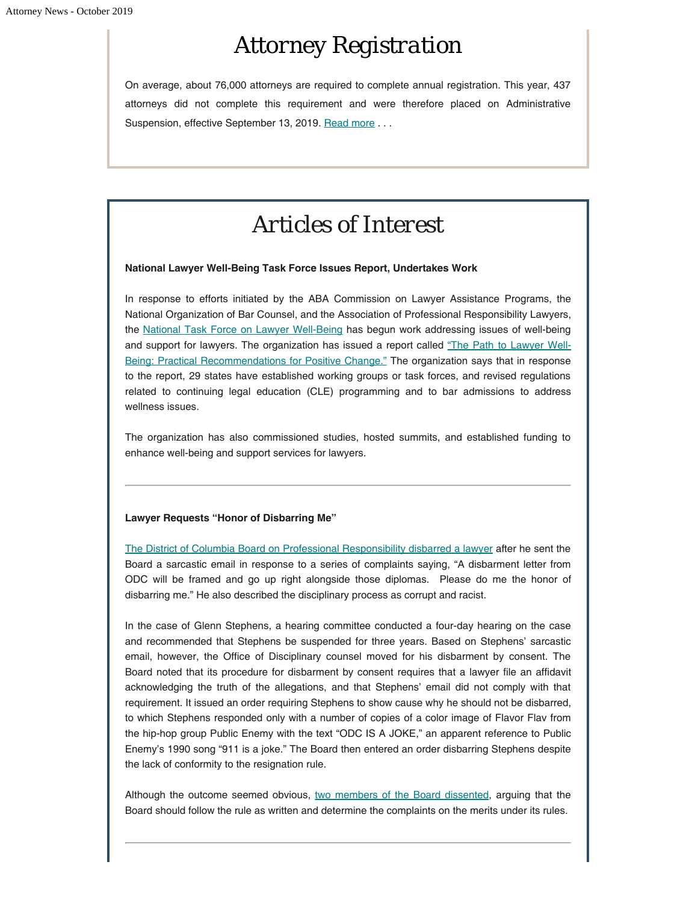# *Attorney Registration*

On average, about 76,000 attorneys are required to complete annual registration. This year, 437 attorneys did not complete this requirement and were therefore placed on Administrative Suspension, effective September 13, 2019. [Read more](https://www.padisciplinaryboard.org/news-media/news-article/1155/2019-2020-annual-attorney-registration-summary) ...

# *Articles of Interest*

#### **National Lawyer Well-Being Task Force Issues Report, Undertakes Work**

In response to efforts initiated by the ABA Commission on Lawyer Assistance Programs, the National Organization of Bar Counsel, and the Association of Professional Responsibility Lawyers, the [National Task Force on Lawyer Well-Being](https://biglawbusiness.com/national-lawyer-well-being-task-force-celebrates-gains) has begun work addressing issues of well-being and support for lawyers. The organization has issued a report called ["The Path to Lawyer Well-](https://src.bna.com/KTC)[Being: Practical Recommendations for Positive Change."](https://src.bna.com/KTC) The organization says that in response to the report, 29 states have established working groups or task forces, and revised regulations related to continuing legal education (CLE) programming and to bar admissions to address wellness issues.

The organization has also commissioned studies, hosted summits, and established funding to enhance well-being and support services for lawyers.

#### **Lawyer Requests "Honor of Disbarring Me"**

[The District of Columbia Board on Professional Responsibility disbarred a lawyer](http://www.abajournal.com/news/article/lawyer-says-it-would-be-an-honor-to-be-disbarred-disciplinary-board-aims-to-oblige) after he sent the Board a sarcastic email in response to a series of complaints saying, "A disbarment letter from ODC will be framed and go up right alongside those diplomas. Please do me the honor of disbarring me." He also described the disciplinary process as corrupt and racist.

In the case of Glenn Stephens, a hearing committee conducted a four-day hearing on the case and recommended that Stephens be suspended for three years. Based on Stephens' sarcastic email, however, the Office of Disciplinary counsel moved for his disbarment by consent. The Board noted that its procedure for disbarment by consent requires that a lawyer file an affidavit acknowledging the truth of the allegations, and that Stephens' email did not comply with that requirement. It issued an order requiring Stephens to show cause why he should not be disbarred, to which Stephens responded only with a number of copies of a color image of Flavor Flav from the hip-hop group Public Enemy with the text "ODC IS A JOKE," an apparent reference to Public Enemy's 1990 song "911 is a joke." The Board then entered an order disbarring Stephens despite the lack of conformity to the resignation rule.

Although the outcome seemed obvious, [two members of the Board dissented](https://lawprofessors.typepad.com/legal_profession/2019/09/the-district-of-columbia-board-on-professional-responsibility-in-this-extraordinary-matter-disciplinary-counsel-seeks-to-ha.html), arguing that the Board should follow the rule as written and determine the complaints on the merits under its rules.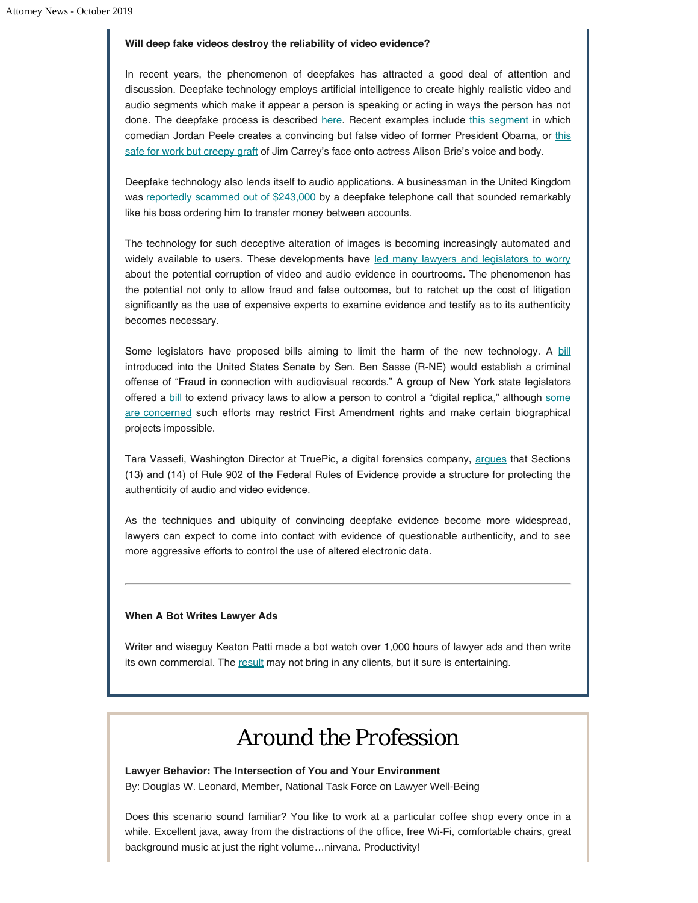#### **Will deep fake videos destroy the reliability of video evidence?**

In recent years, the phenomenon of deepfakes has attracted a good deal of attention and discussion. Deepfake technology employs artificial intelligence to create highly realistic video and audio segments which make it appear a person is speaking or acting in ways the person has not done. The deepfake process is described [here](https://www.lawtechnologytoday.org/2019/07/deepfakes-pose-detection-and-the-death-of-seeing-is-believing/). Recent examples include [this segment](https://www.youtube.com/watch?v=cQ54GDm1eL0) in which comedian Jordan Peele creates a convincing but false video of former President Obama, or [this](https://www.youtube.com/watch?v=b5AWhh6MYCg&feature=youtu.be) [safe for work but creepy graft](https://www.youtube.com/watch?v=b5AWhh6MYCg&feature=youtu.be) of Jim Carrey's face onto actress Alison Brie's voice and body.

Deepfake technology also lends itself to audio applications. A businessman in the United Kingdom was [reportedly scammed out of \\$243,000](https://www.forbes.com/sites/jessedamiani/2019/09/03/a-voice-deepfake-was-used-to-scam-a-ceo-out-of-243000/#3cde54032241) by a deepfake telephone call that sounded remarkably like his boss ordering him to transfer money between accounts.

The technology for such deceptive alteration of images is becoming increasingly automated and widely available to users. These developments have [led many lawyers and legislators to worry](http://www.abajournal.com/lawscribbler/article/as-deepfakes-make-it-harder-to-discern-truth-lawyers-can-be-gatekeepers) about the potential corruption of video and audio evidence in courtrooms. The phenomenon has the potential not only to allow fraud and false outcomes, but to ratchet up the cost of litigation significantly as the use of expensive experts to examine evidence and testify as to its authenticity becomes necessary.

Some legislators have proposed [bill](https://www.congress.gov/bill/115th-congress/senate-bill/3805/text)s aiming to limit the harm of the new technology. A bill introduced into the United States Senate by Sen. Ben Sasse (R-NE) would establish a criminal offense of "Fraud in connection with audiovisual records." A group of New York state legislators offered a [bill](https://nyassembly.gov/leg/?default_fld=&leg_video=&bn=A08155&term=2017&Summary=Y&Text=Y) to extend privacy laws to allow a person to control a "digital replica," although [some](https://www.theregister.co.uk/2018/06/12/new_york_state_is_trying_to_ban_deepfakes_and_hollywood_isnt_happy/) [are concerned](https://www.theregister.co.uk/2018/06/12/new_york_state_is_trying_to_ban_deepfakes_and_hollywood_isnt_happy/) such efforts may restrict First Amendment rights and make certain biographical projects impossible.

Tara Vassefi, Washington Director at TruePic, a digital forensics company, [argues](https://medium.com/humanrightscenter/a-law-youve-never-heard-of-could-help-protect-us-from-fake-photos-and-videos-df07119aaeec) that Sections (13) and (14) of Rule 902 of the Federal Rules of Evidence provide a structure for protecting the authenticity of audio and video evidence.

As the techniques and ubiquity of convincing deepfake evidence become more widespread, lawyers can expect to come into contact with evidence of questionable authenticity, and to see more aggressive efforts to control the use of altered electronic data.

#### **When A Bot Writes Lawyer Ads**

Writer and wiseguy Keaton Patti made a bot watch over 1,000 hours of lawyer ads and then write its own commercial. The [result](https://twitter.com/KeatonPatti/status/1050396467674968064) may not bring in any clients, but it sure is entertaining.

### *Around the Profession*

**Lawyer Behavior: The Intersection of You and Your Environment** By: Douglas W. Leonard, Member, National Task Force on Lawyer Well-Being

Does this scenario sound familiar? You like to work at a particular coffee shop every once in a while. Excellent java, away from the distractions of the office, free Wi-Fi, comfortable chairs, great background music at just the right volume…nirvana. Productivity!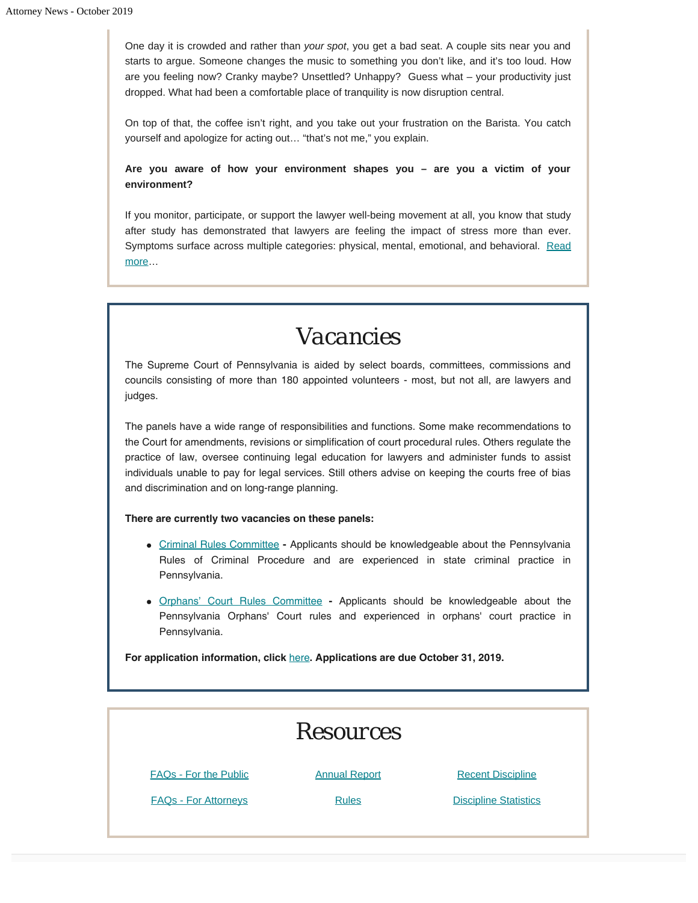One day it is crowded and rather than *your spot*, you get a bad seat. A couple sits near you and starts to argue. Someone changes the music to something you don't like, and it's too loud. How are you feeling now? Cranky maybe? Unsettled? Unhappy? Guess what – your productivity just dropped. What had been a comfortable place of tranquility is now disruption central.

On top of that, the coffee isn't right, and you take out your frustration on the Barista. You catch yourself and apologize for acting out… "that's not me," you explain.

**Are you aware of how your environment shapes you – are you a victim of your environment?**

If you monitor, participate, or support the lawyer well-being movement at all, you know that study after study has demonstrated that lawyers are feeling the impact of stress more than ever. Symptoms surface across multiple categories: physical, mental, emotional, and behavioral. [Read](https://www.padisciplinaryboard.org/news-media/news-article/1156/lawyer-behavior-the-intersection-of-you-and-your-environment) [more](https://www.padisciplinaryboard.org/news-media/news-article/1156/lawyer-behavior-the-intersection-of-you-and-your-environment)…

## *Vacancies*

The Supreme Court of Pennsylvania is aided by select boards, committees, commissions and councils consisting of more than 180 appointed volunteers - most, but not all, are lawyers and judges.

The panels have a wide range of responsibilities and functions. Some make recommendations to the Court for amendments, revisions or simplification of court procedural rules. Others regulate the practice of law, oversee continuing legal education for lawyers and administer funds to assist individuals unable to pay for legal services. Still others advise on keeping the courts free of bias and discrimination and on long-range planning.

#### **There are currently two vacancies on these panels:**

- [Criminal Rules Committee](http://www.pacourts.us/courts/supreme-court/committees/membership-requirements-for-the-criminal-procedural-rules-committee) **-** Applicants should be knowledgeable about the Pennsylvania Rules of Criminal Procedure and are experienced in state criminal practice in Pennsylvania.
- [Orphans' Court Rules Committee](http://www.pacourts.us/courts/supreme-court/committees/membership-requirements-for-the-orphans-court-procedural-rules-committee) **-** Applicants should be knowledgeable about the Pennsylvania Orphans' Court rules and experienced in orphans' court practice in Pennsylvania.

**For application information, click** [here](http://www.pacourts.us/courts/supreme-court/committees/)**. Applications are due October 31, 2019.**

| <b>Resources</b>             |                      |                              |
|------------------------------|----------------------|------------------------------|
| <b>FAQs - For the Public</b> | <b>Annual Report</b> | <b>Recent Discipline</b>     |
| <b>FAQs - For Attorneys</b>  | <b>Rules</b>         | <b>Discipline Statistics</b> |